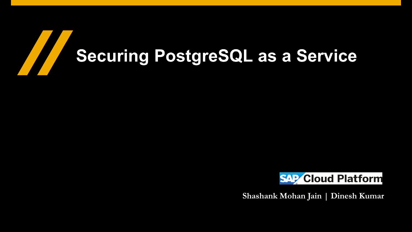# Here are a series of the contract of the contract of the contract of the contract of the contract of the contract of the contract of the contract of the contract of the contract of the contract of the contract of the contr **Securing PostgreSQL as a Service**



**Shashank Mohan Jain | Dinesh Kumar**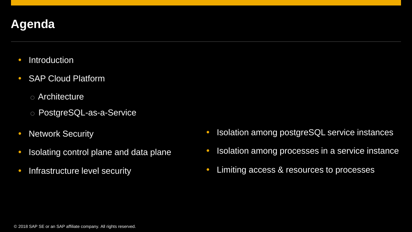## **Agenda**

- Introduction
- SAP Cloud Platform
	- o Architecture
	- o PostgreSQL-as-a-Service
- Network Security
- Isolating control plane and data plane
- Infrastructure level security
- **Isolation among postgreSQL service instances**
- **Isolation among processes in a service instance**
- Limiting access & resources to processes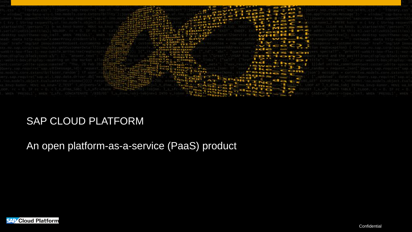

#### SAP CLOUD PLATFORM

#### An open platform-as-a-service (PaaS) product

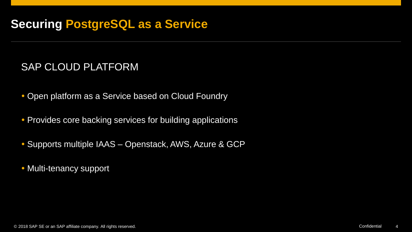#### SAP CLOUD PLATFORM

- Open platform as a Service based on Cloud Foundry
- Provides core backing services for building applications
- Supports multiple IAAS Openstack, AWS, Azure & GCP
- Multi-tenancy support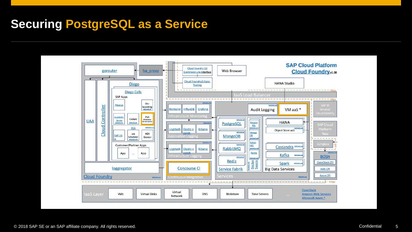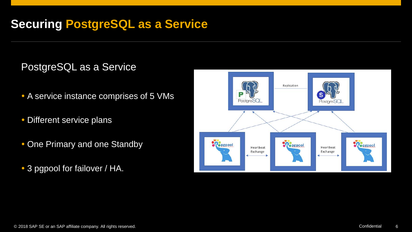#### PostgreSQL as a Service

- A service instance comprises of 5 VMs
- Different service plans
- One Primary and one Standby
- 3 pgpool for failover / HA.

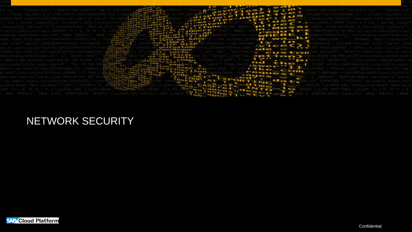

### NETWORK SECURITY

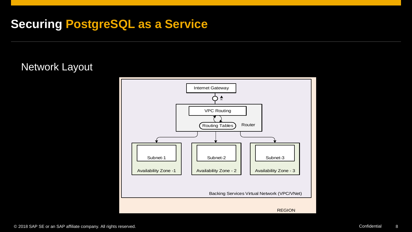#### Network Layout

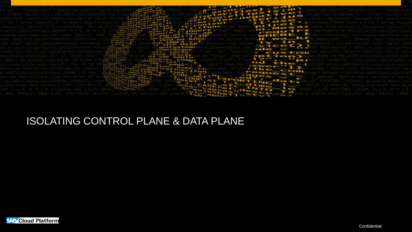

#### ISOLATING CONTROL PLANE & DATA PLANE

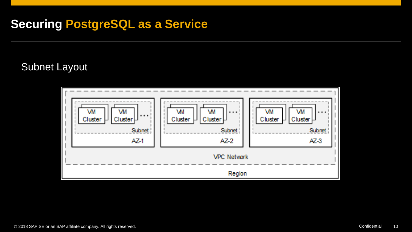#### Subnet Layout

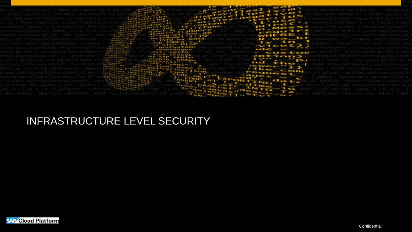

#### INFRASTRUCTURE LEVEL SECURITY

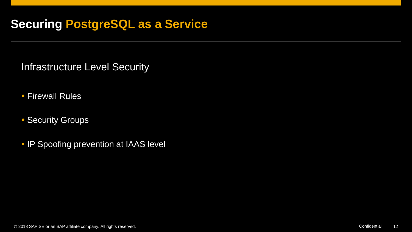Infrastructure Level Security

- Firewall Rules
- **Security Groups**
- **IP Spoofing prevention at IAAS level**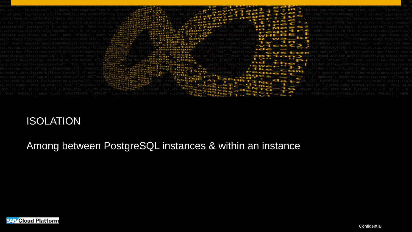

#### ISOLATION

Among between PostgreSQL instances & within an instance

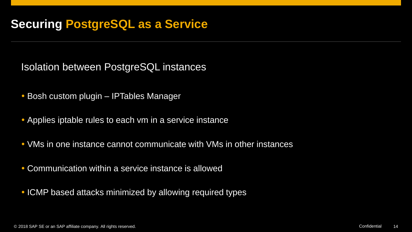Isolation between PostgreSQL instances

- Bosh custom plugin IPTables Manager
- Applies iptable rules to each vm in a service instance
- VMs in one instance cannot communicate with VMs in other instances
- Communication within a service instance is allowed
- ICMP based attacks minimized by allowing required types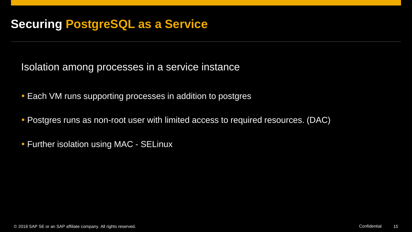Isolation among processes in a service instance

- Each VM runs supporting processes in addition to postgres
- Postgres runs as non-root user with limited access to required resources. (DAC)
- Further isolation using MAC SELinux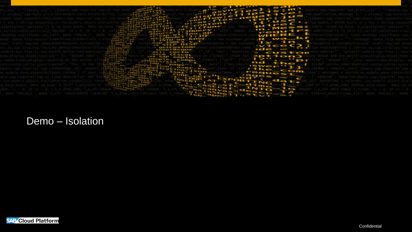

#### Demo – Isolation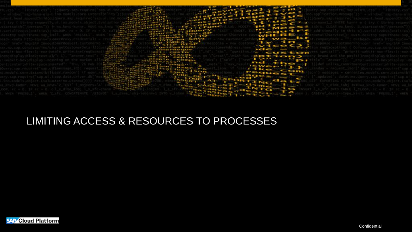

#### LIMITING ACCESS & RESOURCES TO PROCESSES

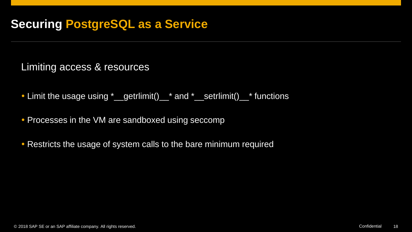Limiting access & resources

- Limit the usage using \*\_getrlimit()\_\* and \*\_setrlimit()\_\* functions
- Processes in the VM are sandboxed using seccomp
- Restricts the usage of system calls to the bare minimum required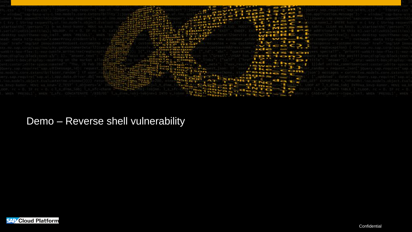

#### Demo – Reverse shell vulnerability

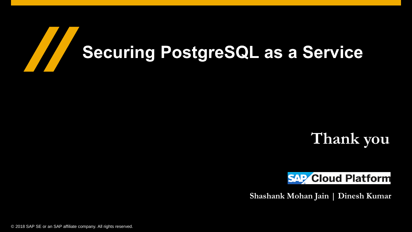## **Thank you**



**Shashank Mohan Jain | Dinesh Kumar**

© 2018 SAP SE or an SAP affiliate company. All rights reserved.